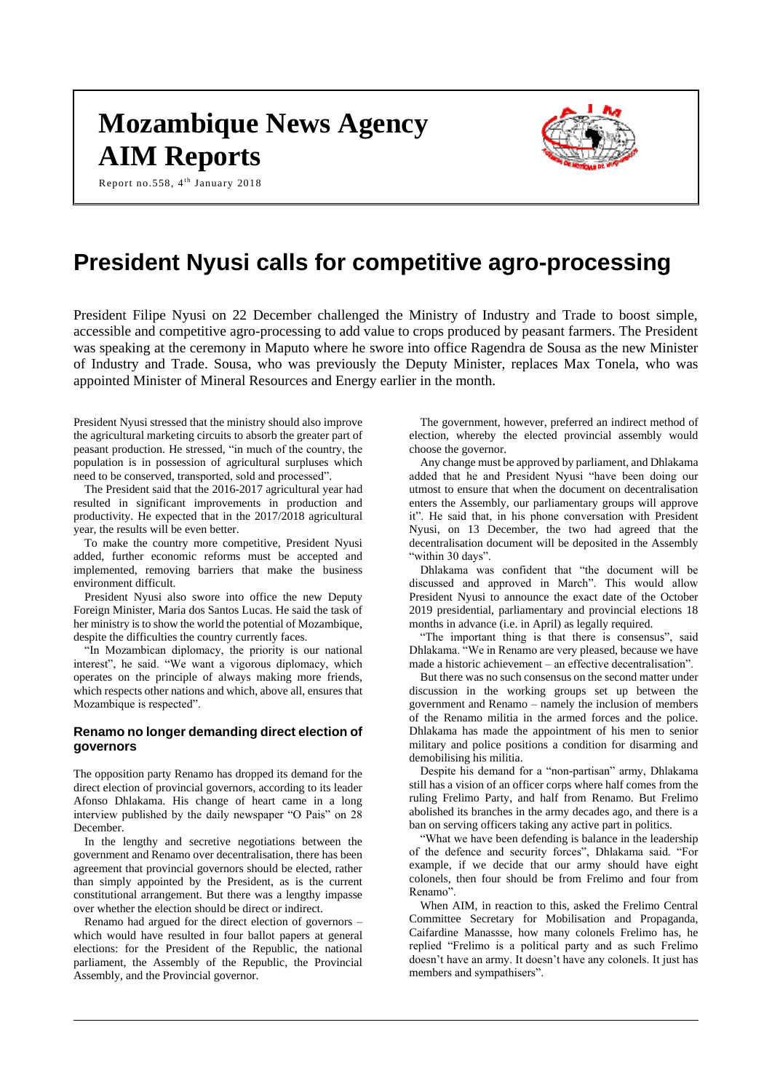# **Mozambique News Agency AIM Reports**

Report no.558, 4<sup>th</sup> January 2018



# **President Nyusi calls for competitive agro-processing**

President Filipe Nyusi on 22 December challenged the Ministry of Industry and Trade to boost simple, accessible and competitive agro-processing to add value to crops produced by peasant farmers. The President was speaking at the ceremony in Maputo where he swore into office Ragendra de Sousa as the new Minister of Industry and Trade. Sousa, who was previously the Deputy Minister, replaces Max Tonela, who was appointed Minister of Mineral Resources and Energy earlier in the month.

President Nyusi stressed that the ministry should also improve the agricultural marketing circuits to absorb the greater part of peasant production. He stressed, "in much of the country, the population is in possession of agricultural surpluses which need to be conserved, transported, sold and processed".

The President said that the 2016-2017 agricultural year had resulted in significant improvements in production and productivity. He expected that in the 2017/2018 agricultural year, the results will be even better.

To make the country more competitive, President Nyusi added, further economic reforms must be accepted and implemented, removing barriers that make the business environment difficult.

President Nyusi also swore into office the new Deputy Foreign Minister, Maria dos Santos Lucas. He said the task of her ministry is to show the world the potential of Mozambique, despite the difficulties the country currently faces.

"In Mozambican diplomacy, the priority is our national interest", he said. "We want a vigorous diplomacy, which operates on the principle of always making more friends, which respects other nations and which, above all, ensures that Mozambique is respected".

# **Renamo no longer demanding direct election of governors**

The opposition party Renamo has dropped its demand for the direct election of provincial governors, according to its leader Afonso Dhlakama. His change of heart came in a long interview published by the daily newspaper "O Pais" on 28 December.

In the lengthy and secretive negotiations between the government and Renamo over decentralisation, there has been agreement that provincial governors should be elected, rather than simply appointed by the President, as is the current constitutional arrangement. But there was a lengthy impasse over whether the election should be direct or indirect.

Renamo had argued for the direct election of governors – which would have resulted in four ballot papers at general elections: for the President of the Republic, the national parliament, the Assembly of the Republic, the Provincial Assembly, and the Provincial governor.

The government, however, preferred an indirect method of election, whereby the elected provincial assembly would choose the governor.

Any change must be approved by parliament, and Dhlakama added that he and President Nyusi "have been doing our utmost to ensure that when the document on decentralisation enters the Assembly, our parliamentary groups will approve it". He said that, in his phone conversation with President Nyusi, on 13 December, the two had agreed that the decentralisation document will be deposited in the Assembly "within 30 days".

Dhlakama was confident that "the document will be discussed and approved in March". This would allow President Nyusi to announce the exact date of the October 2019 presidential, parliamentary and provincial elections 18 months in advance (i.e. in April) as legally required.

"The important thing is that there is consensus", said Dhlakama. "We in Renamo are very pleased, because we have made a historic achievement – an effective decentralisation".

But there was no such consensus on the second matter under discussion in the working groups set up between the government and Renamo – namely the inclusion of members of the Renamo militia in the armed forces and the police. Dhlakama has made the appointment of his men to senior military and police positions a condition for disarming and demobilising his militia.

Despite his demand for a "non-partisan" army, Dhlakama still has a vision of an officer corps where half comes from the ruling Frelimo Party, and half from Renamo. But Frelimo abolished its branches in the army decades ago, and there is a ban on serving officers taking any active part in politics.

"What we have been defending is balance in the leadership of the defence and security forces", Dhlakama said. "For example, if we decide that our army should have eight colonels, then four should be from Frelimo and four from Renamo".

When AIM, in reaction to this, asked the Frelimo Central Committee Secretary for Mobilisation and Propaganda, Caifardine Manassse, how many colonels Frelimo has, he replied "Frelimo is a political party and as such Frelimo doesn't have an army. It doesn't have any colonels. It just has members and sympathisers".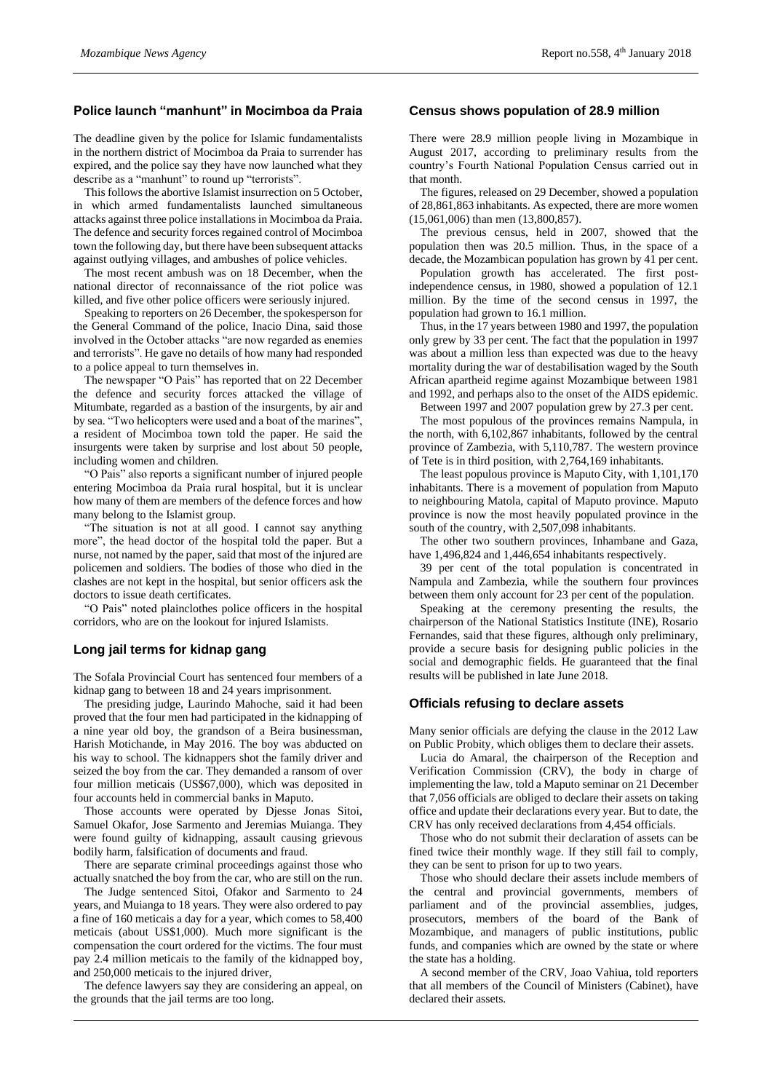# **Police launch "manhunt" in Mocimboa da Praia**

The deadline given by the police for Islamic fundamentalists in the northern district of Mocimboa da Praia to surrender has expired, and the police say they have now launched what they describe as a "manhunt" to round up "terrorists".

This follows the abortive Islamist insurrection on 5 October, in which armed fundamentalists launched simultaneous attacks against three police installations in Mocimboa da Praia. The defence and security forces regained control of Mocimboa town the following day, but there have been subsequent attacks against outlying villages, and ambushes of police vehicles.

The most recent ambush was on 18 December, when the national director of reconnaissance of the riot police was killed, and five other police officers were seriously injured.

Speaking to reporters on 26 December, the spokesperson for the General Command of the police, Inacio Dina, said those involved in the October attacks "are now regarded as enemies and terrorists". He gave no details of how many had responded to a police appeal to turn themselves in.

The newspaper "O Pais" has reported that on 22 December the defence and security forces attacked the village of Mitumbate, regarded as a bastion of the insurgents, by air and by sea. "Two helicopters were used and a boat of the marines", a resident of Mocimboa town told the paper. He said the insurgents were taken by surprise and lost about 50 people, including women and children.

"O Pais" also reports a significant number of injured people entering Mocimboa da Praia rural hospital, but it is unclear how many of them are members of the defence forces and how many belong to the Islamist group.

"The situation is not at all good. I cannot say anything more", the head doctor of the hospital told the paper. But a nurse, not named by the paper, said that most of the injured are policemen and soldiers. The bodies of those who died in the clashes are not kept in the hospital, but senior officers ask the doctors to issue death certificates.

"O Pais" noted plainclothes police officers in the hospital corridors, who are on the lookout for injured Islamists.

# **Long jail terms for kidnap gang**

The Sofala Provincial Court has sentenced four members of a kidnap gang to between 18 and 24 years imprisonment.

The presiding judge, Laurindo Mahoche, said it had been proved that the four men had participated in the kidnapping of a nine year old boy, the grandson of a Beira businessman, Harish Motichande, in May 2016. The boy was abducted on his way to school. The kidnappers shot the family driver and seized the boy from the car. They demanded a ransom of over four million meticais (US\$67,000), which was deposited in four accounts held in commercial banks in Maputo.

Those accounts were operated by Djesse Jonas Sitoi, Samuel Okafor, Jose Sarmento and Jeremias Muianga. They were found guilty of kidnapping, assault causing grievous bodily harm, falsification of documents and fraud.

There are separate criminal proceedings against those who actually snatched the boy from the car, who are still on the run.

The Judge sentenced Sitoi, Ofakor and Sarmento to 24 years, and Muianga to 18 years. They were also ordered to pay a fine of 160 meticais a day for a year, which comes to 58,400 meticais (about US\$1,000). Much more significant is the compensation the court ordered for the victims. The four must pay 2.4 million meticais to the family of the kidnapped boy, and 250,000 meticais to the injured driver,

The defence lawyers say they are considering an appeal, on the grounds that the jail terms are too long.

#### **Census shows population of 28.9 million**

There were 28.9 million people living in Mozambique in August 2017, according to preliminary results from the country's Fourth National Population Census carried out in that month.

The figures, released on 29 December, showed a population of 28,861,863 inhabitants. As expected, there are more women (15,061,006) than men (13,800,857).

The previous census, held in 2007, showed that the population then was 20.5 million. Thus, in the space of a decade, the Mozambican population has grown by 41 per cent.

Population growth has accelerated. The first postindependence census, in 1980, showed a population of 12.1 million. By the time of the second census in 1997, the population had grown to 16.1 million.

Thus, in the 17 years between 1980 and 1997, the population only grew by 33 per cent. The fact that the population in 1997 was about a million less than expected was due to the heavy mortality during the war of destabilisation waged by the South African apartheid regime against Mozambique between 1981 and 1992, and perhaps also to the onset of the AIDS epidemic.

Between 1997 and 2007 population grew by 27.3 per cent.

The most populous of the provinces remains Nampula, in the north, with 6,102,867 inhabitants, followed by the central province of Zambezia, with 5,110,787. The western province of Tete is in third position, with 2,764,169 inhabitants.

The least populous province is Maputo City, with 1,101,170 inhabitants. There is a movement of population from Maputo to neighbouring Matola, capital of Maputo province. Maputo province is now the most heavily populated province in the south of the country, with 2,507,098 inhabitants.

The other two southern provinces, Inhambane and Gaza, have 1,496,824 and 1,446,654 inhabitants respectively.

39 per cent of the total population is concentrated in Nampula and Zambezia, while the southern four provinces between them only account for 23 per cent of the population.

Speaking at the ceremony presenting the results, the chairperson of the National Statistics Institute (INE), Rosario Fernandes, said that these figures, although only preliminary, provide a secure basis for designing public policies in the social and demographic fields. He guaranteed that the final results will be published in late June 2018.

## **Officials refusing to declare assets**

Many senior officials are defying the clause in the 2012 Law on Public Probity, which obliges them to declare their assets.

Lucia do Amaral, the chairperson of the Reception and Verification Commission (CRV), the body in charge of implementing the law, told a Maputo seminar on 21 December that 7,056 officials are obliged to declare their assets on taking office and update their declarations every year. But to date, the CRV has only received declarations from 4,454 officials.

Those who do not submit their declaration of assets can be fined twice their monthly wage. If they still fail to comply, they can be sent to prison for up to two years.

Those who should declare their assets include members of the central and provincial governments, members of parliament and of the provincial assemblies, judges, prosecutors, members of the board of the Bank of Mozambique, and managers of public institutions, public funds, and companies which are owned by the state or where the state has a holding.

A second member of the CRV, Joao Vahiua, told reporters that all members of the Council of Ministers (Cabinet), have declared their assets.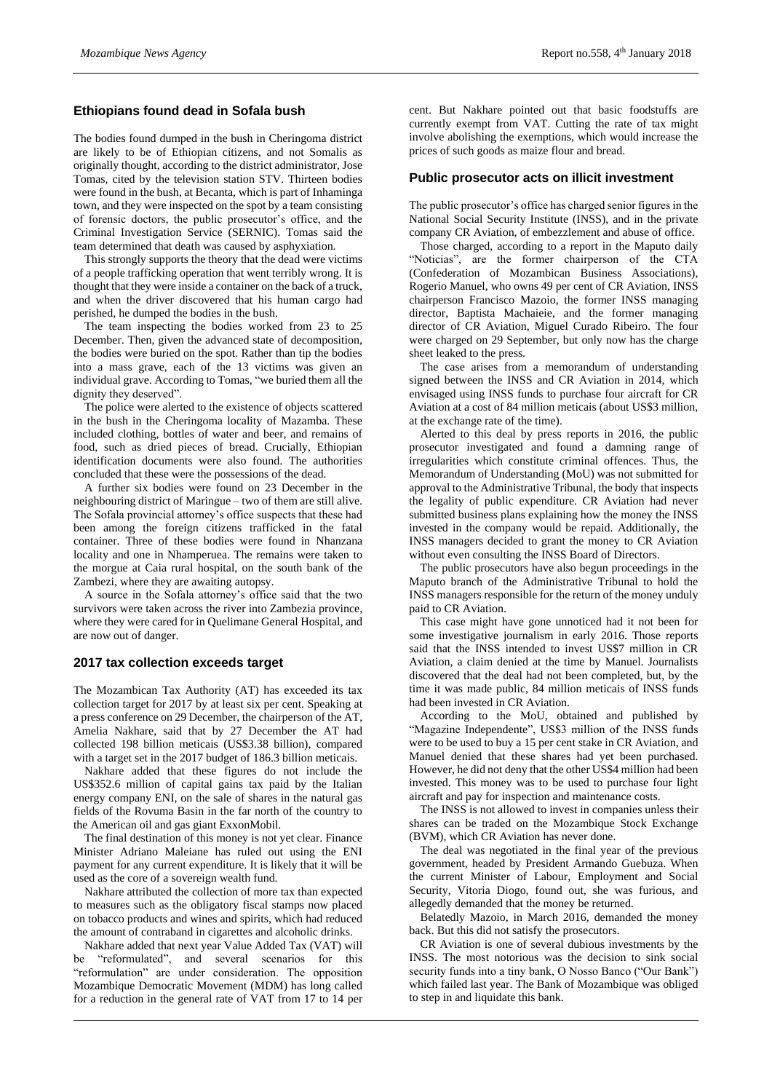# **Ethiopians found dead in Sofala bush**

The bodies found dumped in the bush in Cheringoma district are likely to be of Ethiopian citizens, and not Somalis as originally thought, according to the district administrator, Jose Tomas, cited by the television station STV. Thirteen bodies were found in the bush, at Becanta, which is part of Inhaminga town, and they were inspected on the spot by a team consisting of forensic doctors, the public prosecutor's office, and the Criminal Investigation Service (SERNIC). Tomas said the team determined that death was caused by asphyxiation.

This strongly supports the theory that the dead were victims of a people trafficking operation that went terribly wrong. It is thought that they were inside a container on the back of a truck, and when the driver discovered that his human cargo had perished, he dumped the bodies in the bush.

The team inspecting the bodies worked from 23 to 25 December. Then, given the advanced state of decomposition, the bodies were buried on the spot. Rather than tip the bodies into a mass grave, each of the 13 victims was given an individual grave. According to Tomas, "we buried them all the dignity they deserved".

The police were alerted to the existence of objects scattered in the bush in the Cheringoma locality of Mazamba. These included clothing, bottles of water and beer, and remains of food, such as dried pieces of bread. Crucially, Ethiopian identification documents were also found. The authorities concluded that these were the possessions of the dead.

A further six bodies were found on 23 December in the neighbouring district of Maringue – two of them are still alive. The Sofala provincial attorney's office suspects that these had been among the foreign citizens trafficked in the fatal container. Three of these bodies were found in Nhanzana locality and one in Nhamperuea. The remains were taken to the morgue at Caia rural hospital, on the south bank of the Zambezi, where they are awaiting autopsy.

A source in the Sofala attorney's office said that the two survivors were taken across the river into Zambezia province, where they were cared for in Quelimane General Hospital, and are now out of danger.

### **2017 tax collection exceeds target**

The Mozambican Tax Authority (AT) has exceeded its tax collection target for 2017 by at least six per cent. Speaking at a press conference on 29 December, the chairperson of the AT, Amelia Nakhare, said that by 27 December the AT had collected 198 billion meticais (US\$3.38 billion), compared with a target set in the 2017 budget of 186.3 billion meticais.

Nakhare added that these figures do not include the US\$352.6 million of capital gains tax paid by the Italian energy company ENI, on the sale of shares in the natural gas fields of the Rovuma Basin in the far north of the country to the American oil and gas giant ExxonMobil.

The final destination of this money is not yet clear. Finance Minister Adriano Maleiane has ruled out using the ENI payment for any current expenditure. It is likely that it will be used as the core of a sovereign wealth fund.

Nakhare attributed the collection of more tax than expected to measures such as the obligatory fiscal stamps now placed on tobacco products and wines and spirits, which had reduced the amount of contraband in cigarettes and alcoholic drinks.

Nakhare added that next year Value Added Tax (VAT) will be "reformulated", and several scenarios for this "reformulation" are under consideration. The opposition Mozambique Democratic Movement (MDM) has long called for a reduction in the general rate of VAT from 17 to 14 per

cent. But Nakhare pointed out that basic foodstuffs are currently exempt from VAT. Cutting the rate of tax might involve abolishing the exemptions, which would increase the prices of such goods as maize flour and bread.

### **Public prosecutor acts on illicit investment**

The public prosecutor's office has charged senior figures in the National Social Security Institute (INSS), and in the private company CR Aviation, of embezzlement and abuse of office.

Those charged, according to a report in the Maputo daily "Noticias", are the former chairperson of the CTA (Confederation of Mozambican Business Associations), Rogerio Manuel, who owns 49 per cent of CR Aviation, INSS chairperson Francisco Mazoio, the former INSS managing director, Baptista Machaieie, and the former managing director of CR Aviation, Miguel Curado Ribeiro. The four were charged on 29 September, but only now has the charge sheet leaked to the press.

The case arises from a memorandum of understanding signed between the INSS and CR Aviation in 2014, which envisaged using INSS funds to purchase four aircraft for CR Aviation at a cost of 84 million meticais (about US\$3 million, at the exchange rate of the time).

Alerted to this deal by press reports in 2016, the public prosecutor investigated and found a damning range of irregularities which constitute criminal offences. Thus, the Memorandum of Understanding (MoU) was not submitted for approval to the Administrative Tribunal, the body that inspects the legality of public expenditure. CR Aviation had never submitted business plans explaining how the money the INSS invested in the company would be repaid. Additionally, the INSS managers decided to grant the money to CR Aviation without even consulting the INSS Board of Directors.

The public prosecutors have also begun proceedings in the Maputo branch of the Administrative Tribunal to hold the INSS managers responsible for the return of the money unduly paid to CR Aviation.

This case might have gone unnoticed had it not been for some investigative journalism in early 2016. Those reports said that the INSS intended to invest US\$7 million in CR Aviation, a claim denied at the time by Manuel. Journalists discovered that the deal had not been completed, but, by the time it was made public, 84 million meticais of INSS funds had been invested in CR Aviation.

According to the MoU, obtained and published by "Magazine Independente", US\$3 million of the INSS funds were to be used to buy a 15 per cent stake in CR Aviation, and Manuel denied that these shares had yet been purchased. However, he did not deny that the other US\$4 million had been invested. This money was to be used to purchase four light aircraft and pay for inspection and maintenance costs.

The INSS is not allowed to invest in companies unless their shares can be traded on the Mozambique Stock Exchange (BVM), which CR Aviation has never done.

The deal was negotiated in the final year of the previous government, headed by President Armando Guebuza. When the current Minister of Labour, Employment and Social Security, Vitoria Diogo, found out, she was furious, and allegedly demanded that the money be returned.

Belatedly Mazoio, in March 2016, demanded the money back. But this did not satisfy the prosecutors.

CR Aviation is one of several dubious investments by the INSS. The most notorious was the decision to sink social security funds into a tiny bank, O Nosso Banco ("Our Bank") which failed last year. The Bank of Mozambique was obliged to step in and liquidate this bank.